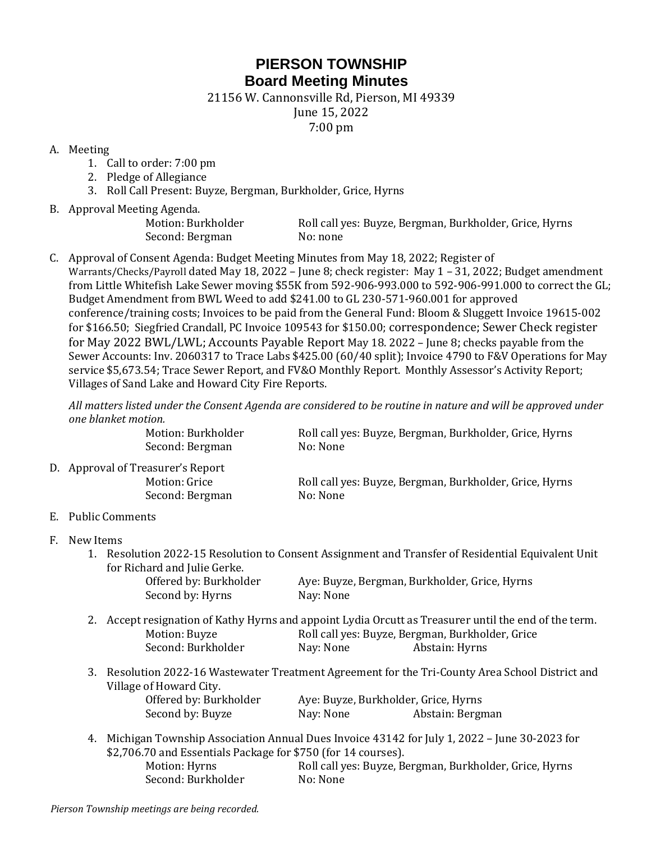## **PIERSON TOWNSHIP Board Meeting Minutes**

21156 W. Cannonsville Rd, Pierson, MI 49339

June 15, 2022

7:00 pm

## A. Meeting

- 1. Call to order: 7:00 pm
- 2. Pledge of Allegiance
- 3. Roll Call Present: Buyze, Bergman, Burkholder, Grice, Hyrns
- B. Approval Meeting Agenda.

Second: Bergman No: none

Motion: Burkholder Roll call yes: Buyze, Bergman, Burkholder, Grice, Hyrns

C. Approval of Consent Agenda: Budget Meeting Minutes from May 18, 2022; Register of Warrants/Checks/Payroll dated May 18, 2022 – June 8; check register: May 1 – 31, 2022; Budget amendment from Little Whitefish Lake Sewer moving \$55K from 592-906-993.000 to 592-906-991.000 to correct the GL; Budget Amendment from BWL Weed to add \$241.00 to GL 230-571-960.001 for approved conference/training costs; Invoices to be paid from the General Fund: Bloom & Sluggett Invoice 19615-002 for \$166.50; Siegfried Crandall, PC Invoice 109543 for \$150.00; correspondence; Sewer Check register for May 2022 BWL/LWL; Accounts Payable Report May 18. 2022 – June 8; checks payable from the Sewer Accounts: Inv. 2060317 to Trace Labs \$425.00 (60/40 split); Invoice 4790 to F&V Operations for May service \$5,673.54; Trace Sewer Report, and FV&O Monthly Report. Monthly Assessor's Activity Report; Villages of Sand Lake and Howard City Fire Reports.

*All matters listed under the Consent Agenda are considered to be routine in nature and will be approved under one blanket motion.* 

| Motion: Burkholder | Roll call yes: Buyze, Bergman, Burkholder, Grice, Hyrns |
|--------------------|---------------------------------------------------------|
| Second: Bergman    | No: None                                                |

D. Approval of Treasurer's Report Motion: Grice Roll call yes: Buyze, Bergman, Burkholder, Grice, Hyrns Second: Bergman No: None

E. Public Comments

- F. New Items
	- 1. Resolution 2022-15 Resolution to Consent Assignment and Transfer of Residential Equivalent Unit for Richard and Julie Gerke.

| Offered by: Burkholder | Aye: Buyze, Bergman, Burkholder, Grice, Hyrns |
|------------------------|-----------------------------------------------|
| Second by: Hyrns       | Nay: None                                     |

- 2. Accept resignation of Kathy Hyrns and appoint Lydia Orcutt as Treasurer until the end of the term. Motion: Buyze Roll call yes: Buyze, Bergman, Burkholder, Grice Second: Burkholder Nay: None Abstain: Hyrns
- 3. Resolution 2022-16 Wastewater Treatment Agreement for the Tri-County Area School District and Village of Howard City.

| Offered by: Burkholder | Aye: Buyze, Burkholder, Grice, Hyrns |                  |
|------------------------|--------------------------------------|------------------|
| Second by: Buyze       | Nay: None                            | Abstain: Bergman |

4. Michigan Township Association Annual Dues Invoice 43142 for July 1, 2022 – June 30-2023 for \$2,706.70 and Essentials Package for \$750 (for 14 courses). Motion: Hyrns Roll call yes: Buyze, Bergman, Burkholder, Grice, Hyrns Second: Burkholder No: None